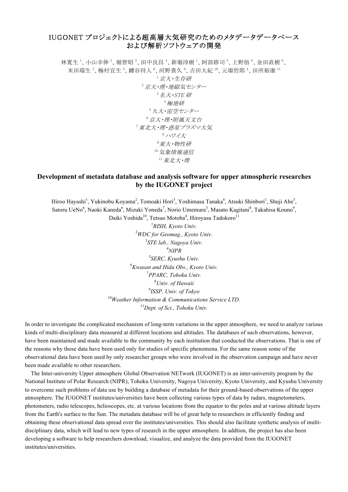## IUGONET プロジェクトによる超高層大気研究のためのメタデータデータベース および解析ソフトウェアの開発

林寛生 '、小山幸伸 '、堀智昭 '、田中良昌 '、新堀淳樹 '、阿部修司 '、上野悟 '、金田直樹 '、 米田瑞生<sup>7</sup>、梅村宜生<sup>3</sup>、鍵谷将人<sup>8</sup>、河野貴久<sup>9</sup>、吉田大紀<sup>10</sup>、元場哲郎<sup>4</sup>、田所裕康<sup>11</sup> <sup>1</sup>京大・生存研  $2\bar{K}$ ·理·地磁気センター  $3A + STE$ 研 <sup>4</sup>極地研 <sup>5</sup>九大・宙空センター <sup>6</sup>京大・理・附属天文台 <sup>7</sup>東北大・理・惑星プラズマ大気 <sup>8</sup>ハワイ大 9 東大・物性研 <sup>10</sup>気象情報通信  $11$  東北大·理

## **Development of metadata database and analysis software for upper atmospheric researches by the IUGONET project**

Hiroo Hayashi<sup>1</sup>, Yukinobu Koyama<sup>2</sup>, Tomoaki Hori<sup>3</sup>, Yoshimasa Tanaka<sup>4</sup>, Atsuki Shinbori<sup>1</sup>, Shuji Abe<sup>5</sup>, Satoru UeNo<sup>6</sup>, Naoki Kaneda<sup>6</sup>, Mizuki Yoneda<sup>7</sup>, Norio Umemura<sup>3</sup>, Masato Kagitani<sup>8</sup>, Takahisa Kouno<sup>9</sup>,

Daiki Yoshida<sup>10</sup>, Tetsuo Motoba<sup>4</sup>, Hiroyasu Tadokoro<sup>11</sup> *RISH, Kyoto Univ. WDC for Geomag., Kyoto Univ. STE lab., Nagoya Univ.* 4 *NIPR SERC, Kyushu Univ. Kwasan and Hida Obs., Kyoto Univ. PPARC, Tohoku Univ. Univ. of Hawaii ISSP, Univ. of Tokyo Weather Information & Communications Service LTD. Dept. of Sci., Tohoku Univ.*

In order to investigate the complicated mechanism of long-term variations in the upper atmosphere, we need to analyze various kinds of multi-disciplinary data measured at different locations and altitudes. The databases of such observations, however, have been maintained and made available to the community by each institution that conducted the observations. That is one of the reasons why those data have been used only for studies of specific phenomena. For the same reason some of the observational data have been used by only researcher groups who were involved in the observation campaign and have never been made available to other researchers.

The Inter-university Upper atmosphere Global Observation NETwork (IUGONET) is an inter-university program by the National Institute of Polar Research (NIPR), Tohoku University, Nagoya University, Kyoto University, and Kyushu University to overcome such problems of data use by building a database of metadata for their ground-based observations of the upper atmosphere. The IUGONET institutes/universities have been collecting various types of data by radars, magnetometers, photometers, radio telescopes, helioscopes, etc. at various locations from the equator to the poles and at various altitude layers from the Earth's surface to the Sun. The metadata database will be of great help to researchers in efficiently finding and obtaining these observational data spread over the institutes/universities. This should also facilitate synthetic analysis of multidisciplinary data, which will lead to new types of research in the upper atmosphere. In addtion, the project has also been developing a software to help researchers download, visualize, and analyze the data provided from the IUGONET institutes/universities.